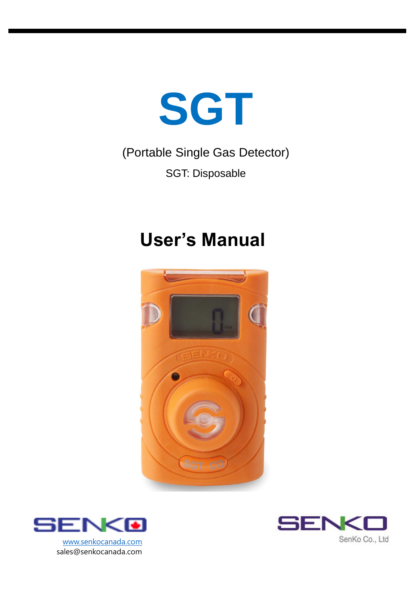

# (Portable Single Gas Detector) SGT: Disposable

# **User's Manual**





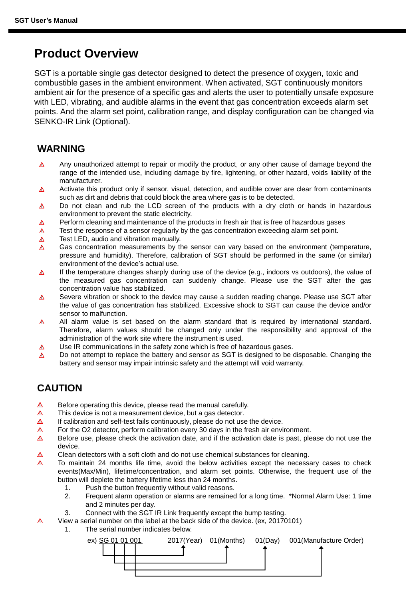### **Product Overview**

SGT is a portable single gas detector designed to detect the presence of oxygen, toxic and combustible gases in the ambient environment. When activated, SGT continuously monitors ambient air for the presence of a specific gas and alerts the user to potentially unsafe exposure with LED, vibrating, and audible alarms in the event that gas concentration exceeds alarm set points. And the alarm set point, calibration range, and display configuration can be changed via SENKO-IR Link (Optional).

#### **WARNING**

- Any unauthorized attempt to repair or modify the product, or any other cause of damage beyond the  $\Lambda$ range of the intended use, including damage by fire, lightening, or other hazard, voids liability of the manufacturer.
- Activate this product only if sensor, visual, detection, and audible cover are clear from contaminants  $\Delta$ such as dirt and debris that could block the area where gas is to be detected.
- $\Delta$ Do not clean and rub the LCD screen of the products with a dry cloth or hands in hazardous environment to prevent the static electricity.
- Perform cleaning and maintenance of the products in fresh air that is free of hazardous gases Λ
- Test the response of a sensor regularly by the gas concentration exceeding alarm set point.  $\wedge$
- Test LED, audio and vibration manually. Δ
- $\Lambda$ Gas concentration measurements by the sensor can vary based on the environment (temperature, pressure and humidity). Therefore, calibration of SGT should be performed in the same (or similar) environment of the device's actual use.
- If the temperature changes sharply during use of the device (e.g., indoors vs outdoors), the value of Δ the measured gas concentration can suddenly change. Please use the SGT after the gas concentration value has stabilized.
- Severe vibration or shock to the device may cause a sudden reading change. Please use SGT after  $\Delta$ the value of gas concentration has stabilized. Excessive shock to SGT can cause the device and/or sensor to malfunction.
- All alarm value is set based on the alarm standard that is required by international standard. Λ Therefore, alarm values should be changed only under the responsibility and approval of the administration of the work site where the instrument is used.
- Λ Use IR communications in the safety zone which is free of hazardous gases.
- Do not attempt to replace the battery and sensor as SGT is designed to be disposable. Changing the Δ battery and sensor may impair intrinsic safety and the attempt will void warranty.

#### **CAUTION**

Δ

- Δ Before operating this device, please read the manual carefully.
- Δ This device is not a measurement device, but a gas detector.
- $\Delta$ If calibration and self-test fails continuously, please do not use the device.
- Δ For the O2 detector, perform calibration every 30 days in the fresh air environment.
- Λ Before use, please check the activation date, and if the activation date is past, please do not use the device.
- Λ Clean detectors with a soft cloth and do not use chemical substances for cleaning.
- Δ To maintain 24 months life time, avoid the below activities except the necessary cases to check events(Max/Min), lifetime/concentration, and alarm set points. Otherwise, the frequent use of the button will deplete the battery lifetime less than 24 months.
	- 1. Push the button frequently without valid reasons.
	- 2. Frequent alarm operation or alarms are remained for a long time. \*Normal Alarm Use: 1 time and 2 minutes per day.
	- 3. Connect with the SGT IR Link frequently except the bump testing.
	- View a serial number on the label at the back side of the device. (ex, 20170101)
		- 1. The serial number indicates below.

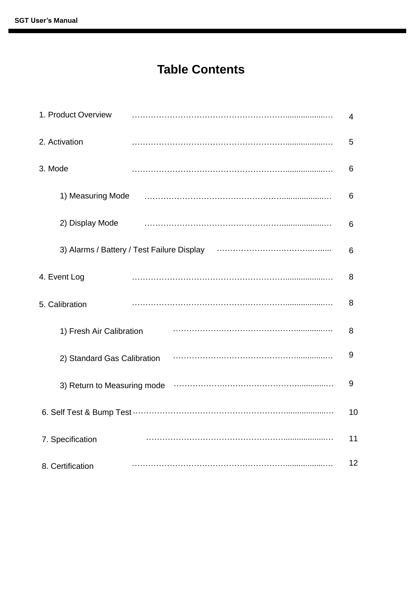## **Table Contents**

| 1. Product Overview                        | 4  |
|--------------------------------------------|----|
| 2. Activation                              | 5  |
| 3. Mode                                    | 6  |
| 1) Measuring Mode                          | 6  |
| 2) Display Mode                            | 6  |
| 3) Alarms / Battery / Test Failure Display | 6  |
| 4. Event Log                               | 8  |
| 5. Calibration                             | 8  |
| 1) Fresh Air Calibration                   | 8  |
| 2) Standard Gas Calibration                | 9  |
| 3) Return to Measuring mode                | 9  |
|                                            | 10 |
| 7. Specification                           | 11 |
| 8. Certification                           | 12 |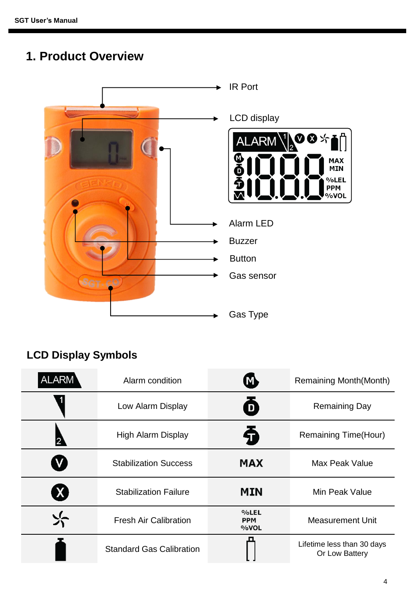# **1. Product Overview**



### **LCD Display Symbols**

| ALARM        | Alarm condition                            | M)                         | <b>Remaining Month(Month)</b>                |  |
|--------------|--------------------------------------------|----------------------------|----------------------------------------------|--|
|              | $\boldsymbol{\Theta}$<br>Low Alarm Display |                            | <b>Remaining Day</b>                         |  |
|              | High Alarm Display                         | Ð                          | Remaining Time(Hour)                         |  |
|              | <b>Stabilization Success</b>               | <b>MAX</b>                 | Max Peak Value                               |  |
| $\mathbf{X}$ | <b>Stabilization Failure</b>               | <b>MIN</b>                 | Min Peak Value                               |  |
|              | <b>Fresh Air Calibration</b>               | %LEL<br><b>PPM</b><br>%VOL | <b>Measurement Unit</b>                      |  |
|              | <b>Standard Gas Calibration</b>            |                            | Lifetime less than 30 days<br>Or Low Battery |  |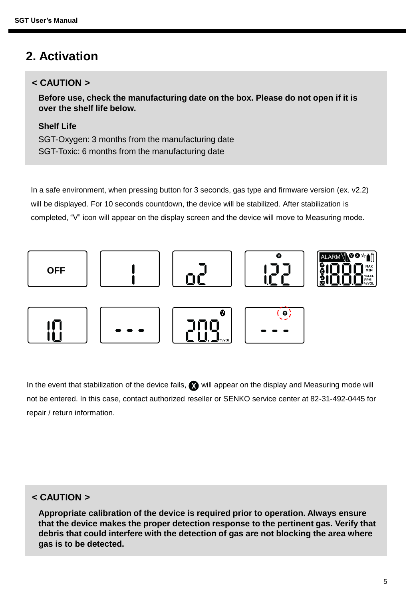### **2. Activation**

#### **< CAUTION >**

**Before use, check the manufacturing date on the box. Please do not open if it is over the shelf life below.**

#### **Shelf Life**

SGT-Oxygen: 3 months from the manufacturing date SGT-Toxic: 6 months from the manufacturing date

In a safe environment, when pressing button for 3 seconds, gas type and firmware version (ex. v2.2) will be displayed. For 10 seconds countdown, the device will be stabilized. After stabilization is completed, "V" icon will appear on the display screen and the device will move to Measuring mode.



In the event that stabilization of the device fails,  $\bullet$  will appear on the display and Measuring mode will not be entered. In this case, contact authorized reseller or SENKO service center at 82-31-492-0445 for repair / return information.

#### **< CAUTION >**

**Appropriate calibration of the device is required prior to operation. Always ensure that the device makes the proper detection response to the pertinent gas. Verify that debris that could interfere with the detection of gas are not blocking the area where gas is to be detected.**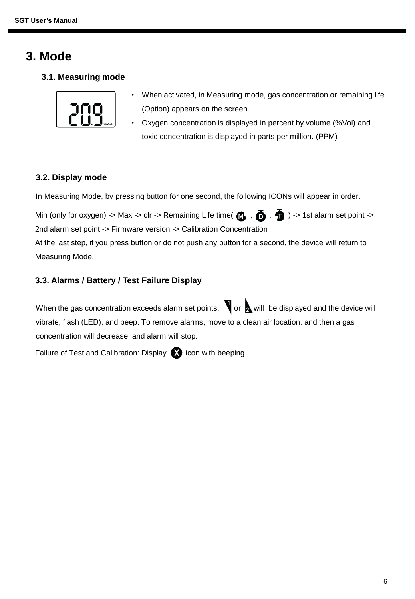### **3. Mode**

**3.1. Measuring mode**



- When activated, in Measuring mode, gas concentration or remaining life (Option) appears on the screen.
- Oxygen concentration is displayed in percent by volume (%Vol) and toxic concentration is displayed in parts per million. (PPM)

#### **3.2. Display mode**

In Measuring Mode, by pressing button for one second, the following ICONs will appear in order.

Min (only for oxygen) -> Max -> clr -> Remaining Life time(  $\bigcirc$  ,  $\bigcirc$  ,  $\bigcirc$  ) -> 1st alarm set point -> 2nd alarm set point -> Firmware version -> Calibration Concentration

At the last step, if you press button or do not push any button for a second, the device will return to Measuring Mode.

#### **3.3. Alarms / Battery / Test Failure Display**

When the gas concentration exceeds alarm set points,  $\bigvee$  or  $\bigtriangleup$  will be displayed and the device will vibrate, flash (LED), and beep. To remove alarms, move to a clean air location. and then a gas concentration will decrease, and alarm will stop.

Failure of Test and Calibration: Display  $\bigotimes$  icon with beeping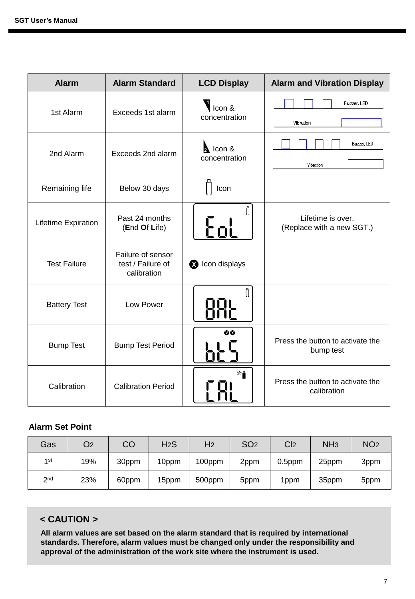| <b>Alarm</b>        | <b>Alarm Standard</b>                                 | <b>LCD Display</b>               | <b>Alarm and Vibration Display</b>              |
|---------------------|-------------------------------------------------------|----------------------------------|-------------------------------------------------|
| 1st Alarm           | Exceeds 1st alarm                                     | Icon &<br>concentration          | Buzzer, LED<br>Vibration                        |
| 2nd Alarm           | Exceeds 2nd alarm                                     | <b>A</b> Icon &<br>concentration | Buzzer, LED<br>Vibration                        |
| Remaining life      | Below 30 days                                         | Icon                             |                                                 |
| Lifetime Expiration | Past 24 months<br>(End Of Life)                       | Γn                               | Lifetime is over.<br>(Replace with a new SGT.)  |
| <b>Test Failure</b> | Failure of sensor<br>test / Failure of<br>calibration | <b>8</b> Icon displays           |                                                 |
| <b>Battery Test</b> | Low Power                                             | H<br>nni<br>Önc                  |                                                 |
| <b>Bump Test</b>    | <b>Bump Test Period</b>                               | $\bf{0}$                         | Press the button to activate the<br>bump test   |
| Calibration         | <b>Calibration Period</b>                             | ⊁∙                               | Press the button to activate the<br>calibration |

#### **Alarm Set Point**

| Gas             | O2  | CO    | H <sub>2</sub> S | H <sub>2</sub> | SO <sub>2</sub> | C <sub>12</sub> | NH <sub>3</sub> | NO <sub>2</sub> |
|-----------------|-----|-------|------------------|----------------|-----------------|-----------------|-----------------|-----------------|
| 1st             | 19% | 30ppm | 10ppm            | 100ppm         | 2ppm            | $0.5$ ppm       | 25ppm           | 3ppm            |
| 2 <sub>nd</sub> | 23% | 60ppm | 15ppm            | 500ppm         | 5ppm            | 1ppm            | 35ppm           | 5ppm            |

#### **< CAUTION >**

**All alarm values are set based on the alarm standard that is required by international standards. Therefore, alarm values must be changed only under the responsibility and approval of the administration of the work site where the instrument is used.**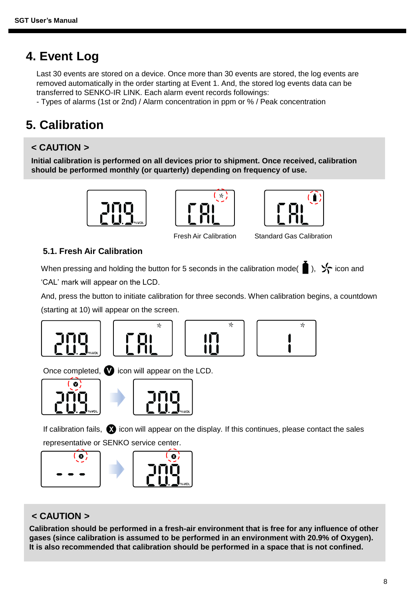### **4. Event Log**

Last 30 events are stored on a device. Once more than 30 events are stored, the log events are removed automatically in the order starting at Event 1. And, the stored log events data can be transferred to SENKO-IR LINK. Each alarm event records followings:

- Types of alarms (1st or 2nd) / Alarm concentration in ppm or % / Peak concentration

# **5. Calibration**

#### **< CAUTION >**

**Initial calibration is performed on all devices prior to shipment. Once received, calibration should be performed monthly (or quarterly) depending on frequency of use.**







Fresh Air Calibration Standard Gas Calibration

#### **5.1. Fresh Air Calibration**

When pressing and holding the button for 5 seconds in the calibration mode( $\Box$ ),  $\angle \Box$  icon and

'CAL' mark will appear on the LCD.

And, press the button to initiate calibration for three seconds. When calibration begins, a countdown (starting at 10) will appear on the screen.







Once completed,  $\bullet$  icon will appear on the LCD.





If calibration fails,  $\Omega$  icon will appear on the display. If this continues, please contact the sales representative or SENKO service center.



#### **< CAUTION >**

**Calibration should be performed in a fresh-air environment that is free for any influence of other gases (since calibration is assumed to be performed in an environment with 20.9% of Oxygen). It is also recommended that calibration should be performed in a space that is not confined.**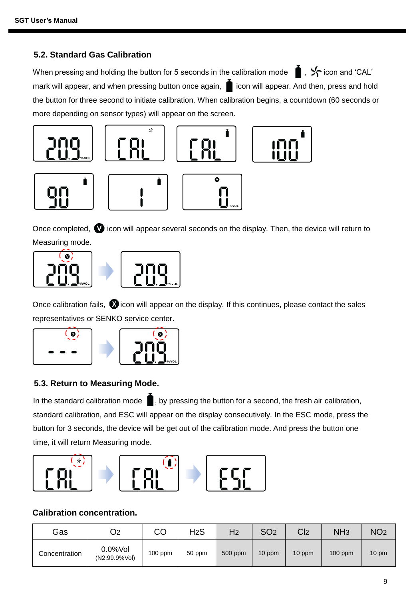#### **5.2. Standard Gas Calibration**

When pressing and holding the button for 5 seconds in the calibration mode  $\bullet$ ,  $\cdot$  icon and 'CAL' mark will appear, and when pressing button once again,  $\blacksquare$  icon will appear. And then, press and hold the button for three second to initiate calibration. When calibration begins, a countdown (60 seconds or more depending on sensor types) will appear on the screen.



Once completed,  $\bullet$  icon will appear several seconds on the display. Then, the device will return to Measuring mode.



Once calibration fails,  $\bullet$  icon will appear on the display. If this continues, please contact the sales representatives or SENKO service center.



#### **5.3. Return to Measuring Mode.**

In the standard calibration mode  $\blacksquare$ , by pressing the button for a second, the fresh air calibration, standard calibration, and ESC will appear on the display consecutively. In the ESC mode, press the button for 3 seconds, the device will be get out of the calibration mode. And press the button one time, it will return Measuring mode.



#### **Calibration concentration.**

| Gas           | O2                          | CO        | H <sub>2</sub> S | H <sub>2</sub> | SO <sub>2</sub> | C <sub>2</sub> | NH <sub>3</sub> | NO <sub>2</sub> |
|---------------|-----------------------------|-----------|------------------|----------------|-----------------|----------------|-----------------|-----------------|
| Concentration | $0.0%$ Vol<br>(N2:99.9%Vol) | $100$ ppm | 50 ppm           | 500 ppm        | 10 ppm          | 10 ppm         | $100$ ppm       | $10 \text{ pm}$ |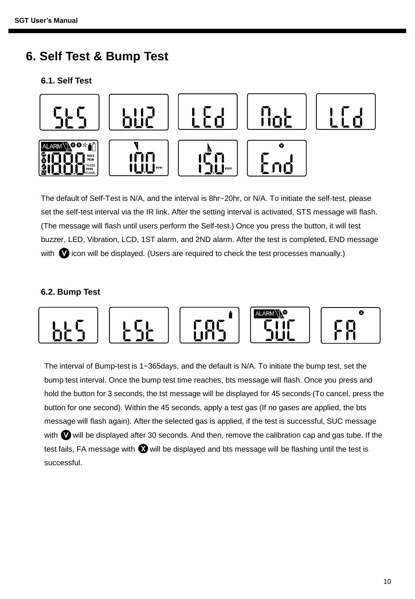### **6. Self Test & Bump Test**

#### **6.1. Self Test**



The default of Self-Test is N/A, and the interval is 8hr~20hr, or N/A. To initiate the self-test, please set the self-test interval via the IR link. After the setting interval is activated, STS message will flash. (The message will flash until users perform the Self-test.) Once you press the button, it will test buzzer, LED, Vibration, LCD, 1ST alarm, and 2ND alarm. After the test is completed, END message with  $\bullet$  icon will be displayed. (Users are required to check the test processes manually.)

#### **6.2. Bump Test**



The interval of Bump-test is 1~365days, and the default is N/A. To initiate the bump test, set the bump test interval. Once the bump test time reaches, bts message will flash. Once you press and hold the button for 3 seconds, the tst message will be displayed for 45 seconds (To cancel, press the button for one second). Within the 45 seconds, apply a test gas (If no gases are applied, the bts message will flash again). After the selected gas is applied, if the test is successful, SUC message with  $\bullet$  will be displayed after 30 seconds. And then, remove the calibration cap and gas tube. If the test fails, FA message with  $\bullet$  will be displayed and bts message will be flashing until the test is successful.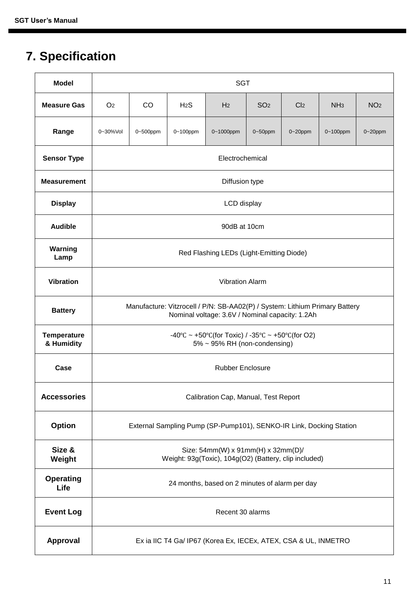# **7. Specification**

| <b>Model</b>                     | <b>SGT</b>                                                                                                                     |                                                                 |               |                |                 |                 |                 |                 |  |  |  |
|----------------------------------|--------------------------------------------------------------------------------------------------------------------------------|-----------------------------------------------------------------|---------------|----------------|-----------------|-----------------|-----------------|-----------------|--|--|--|
| <b>Measure Gas</b>               | O <sub>2</sub>                                                                                                                 | CO.                                                             | $H_2S$        | H <sub>2</sub> | SO <sub>2</sub> | Cl <sub>2</sub> | NH <sub>3</sub> | NO <sub>2</sub> |  |  |  |
| Range                            | 0~30%Vol                                                                                                                       | 0~500ppm                                                        | $0 - 100$ ppm | 0~1000ppm      | $0 - 50$ ppm    | $0 - 20$ ppm    | $0 - 100$ ppm   | $0 - 20$ ppm    |  |  |  |
| <b>Sensor Type</b>               |                                                                                                                                | Electrochemical                                                 |               |                |                 |                 |                 |                 |  |  |  |
| <b>Measurement</b>               |                                                                                                                                | Diffusion type                                                  |               |                |                 |                 |                 |                 |  |  |  |
| <b>Display</b>                   |                                                                                                                                | LCD display                                                     |               |                |                 |                 |                 |                 |  |  |  |
| <b>Audible</b>                   |                                                                                                                                |                                                                 |               | 90dB at 10cm   |                 |                 |                 |                 |  |  |  |
| Warning<br>Lamp                  |                                                                                                                                | Red Flashing LEDs (Light-Emitting Diode)                        |               |                |                 |                 |                 |                 |  |  |  |
| <b>Vibration</b>                 |                                                                                                                                | <b>Vibration Alarm</b>                                          |               |                |                 |                 |                 |                 |  |  |  |
| <b>Battery</b>                   | Manufacture: Vitzrocell / P/N: SB-AA02(P) / System: Lithium Primary Battery<br>Nominal voltage: 3.6V / Nominal capacity: 1.2Ah |                                                                 |               |                |                 |                 |                 |                 |  |  |  |
| <b>Temperature</b><br>& Humidity | -40°C ~ +50°C(for Toxic) / -35°C ~ +50°C(for O2)<br>5% ~ 95% RH (non-condensing)                                               |                                                                 |               |                |                 |                 |                 |                 |  |  |  |
| Case                             | <b>Rubber Enclosure</b>                                                                                                        |                                                                 |               |                |                 |                 |                 |                 |  |  |  |
| <b>Accessories</b>               | Calibration Cap, Manual, Test Report                                                                                           |                                                                 |               |                |                 |                 |                 |                 |  |  |  |
| Option                           | External Sampling Pump (SP-Pump101), SENKO-IR Link, Docking Station                                                            |                                                                 |               |                |                 |                 |                 |                 |  |  |  |
| Size &<br>Weight                 | Size: 54mm(W) x 91mm(H) x 32mm(D)/<br>Weight: 93g(Toxic), 104g(O2) (Battery, clip included)                                    |                                                                 |               |                |                 |                 |                 |                 |  |  |  |
| <b>Operating</b><br>Life         | 24 months, based on 2 minutes of alarm per day                                                                                 |                                                                 |               |                |                 |                 |                 |                 |  |  |  |
| <b>Event Log</b>                 | Recent 30 alarms                                                                                                               |                                                                 |               |                |                 |                 |                 |                 |  |  |  |
| Approval                         |                                                                                                                                | Ex ia IIC T4 Ga/ IP67 (Korea Ex, IECEx, ATEX, CSA & UL, INMETRO |               |                |                 |                 |                 |                 |  |  |  |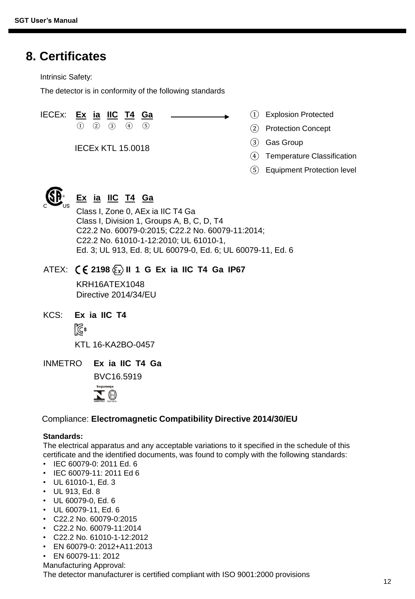### **8. Certificates**

Intrinsic Safety:

The detector is in conformity of the following standards

IECEx: **Ex ia IIC T4 Ga**

 $(1)$   $(2)$   $(3)$   $(4)$   $(5)$ 

IECEx KTL 15.0018

- Explosion Protected ①
- Protection Concept ②
- Gas Group ③
- Temperature Classification ④
- Equipment Protection level ⑤



### **Ex ia IIC T4 Ga**

Class I, Zone 0, AEx ia IIC T4 Ga Class I, Division 1, Groups A, B, C, D, T4 C22.2 No. 60079-0:2015; C22.2 No. 60079-11:2014; C22.2 No. 61010-1-12:2010; UL 61010-1, Ed. 3; UL 913, Ed. 8; UL 60079-0, Ed. 6; UL 60079-11, Ed. 6

#### ATEX: **2198 II 1 G Ex ia IIC T4 Ga IP67**

KRH16ATEX1048 Directive 2014/34/EU

- KCS: **Ex ia IIC T4** िं $\mathbb{S}$ KTL 16-KA2BO-0457
- INMETRO **Ex ia IIC T4 Ga**

BVC16.5919



#### Compliance: **Electromagnetic Compatibility Directive 2014/30/EU**

#### **Standards:**

The electrical apparatus and any acceptable variations to it specified in the schedule of this certificate and the identified documents, was found to comply with the following standards:

- IEC 60079-0: 2011 Ed. 6
- IEC 60079-11: 2011 Ed 6
- UL 61010-1, Ed. 3
- UL 913, Ed. 8
- UL 60079-0, Ed. 6
- UL 60079-11, Ed. 6
- C22.2 No. 60079-0:2015
- C22.2 No. 60079-11:2014
- C22.2 No. 61010-1-12:2012
- EN 60079-0: 2012+A11:2013
- EN 60079-11: 2012
- Manufacturing Approval:

The detector manufacturer is certified compliant with ISO 9001:2000 provisions